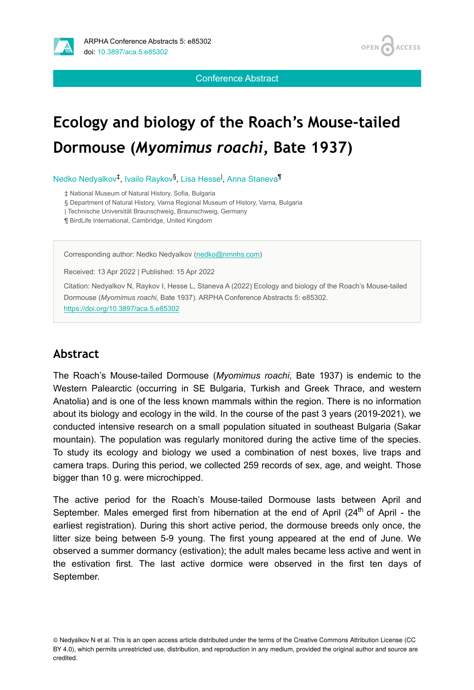

**OPEN ACCESS** 

Conference Abstract

## **Ecology and biology of the Roach's Mouse-tailed Dormouse (***Myomimus roachi***, Bate 1937)**

Nedko Nedyalkov<sup>‡</sup>, Ivailo Raykov<sup>§</sup>, Lisa Hesse<sup>l</sup>, Anna Staneva<sup>¶</sup>

‡ National Museum of Natural History, Sofia, Bulgaria

§ Department of Natural History, Varna Regional Museum of History, Varna, Bulgaria

| Technische Universität Braunschweig, Braunschweig, Germany

¶ BirdLife International, Cambridge, United Kingdom

Corresponding author: Nedko Nedyalkov ([nedko@nmnhs.com](mailto:nedko@nmnhs.com))

Received: 13 Apr 2022 | Published: 15 Apr 2022

Citation: Nedyalkov N, Raykov I, Hesse L, Staneva A (2022) Ecology and biology of the Roach's Mouse-tailed Dormouse (*Myomimus roachi*, Bate 1937). ARPHA Conference Abstracts 5: e85302. <https://doi.org/10.3897/aca.5.e85302>

## **Abstract**

The Roach's Mouse-tailed Dormouse (*Myomimus roachi*, Bate 1937) is endemic to the Western Palearctic (occurring in SE Bulgaria, Turkish and Greek Thrace, and western Anatolia) and is one of the less known mammals within the region. There is no information about its biology and ecology in the wild. In the course of the past 3 years (2019-2021), we conducted intensive research on a small population situated in southeast Bulgaria (Sakar mountain). The population was regularly monitored during the active time of the species. To study its ecology and biology we used a combination of nest boxes, live traps and camera traps. During this period, we collected 259 records of sex, age, and weight. Those bigger than 10 g. were microchipped.

The active period for the Roach's Mouse-tailed Dormouse lasts between April and September. Males emerged first from hibernation at the end of April (24<sup>th</sup> of April - the earliest registration). During this short active period, the dormouse breeds only once, the litter size being between 5-9 young. The first young appeared at the end of June. We observed a summer dormancy (estivation); the adult males became less active and went in the estivation first. The last active dormice were observed in the first ten days of September.

© Nedyalkov N et al. This is an open access article distributed under the terms of the Creative Commons Attribution License (CC BY 4.0), which permits unrestricted use, distribution, and reproduction in any medium, provided the original author and source are credited.